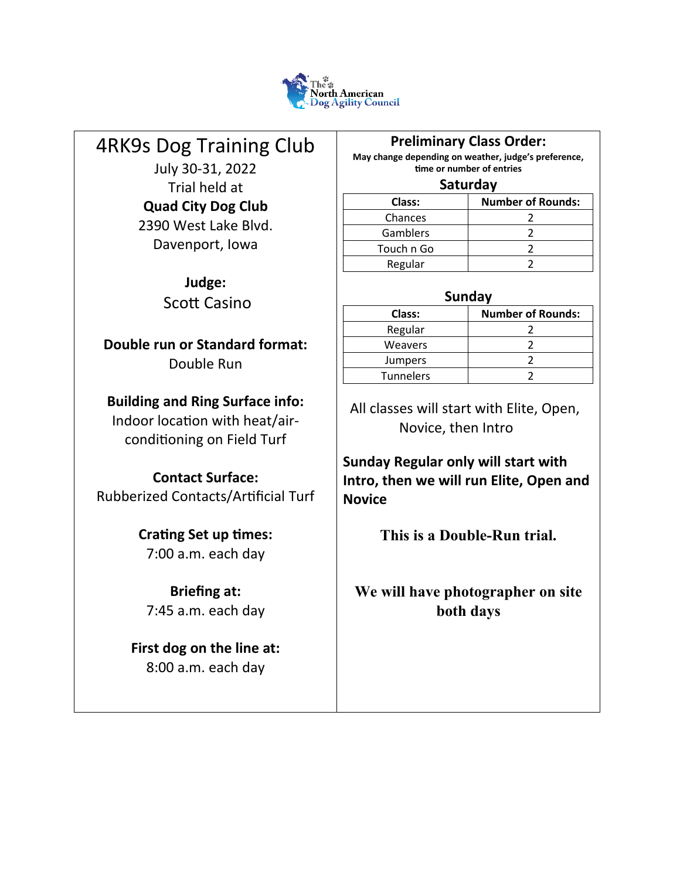

# 4RK9s Dog Training Club

July 30-31, 2022 Trial held at **Quad City Dog Club** 2390 West Lake Blvd. Davenport, Iowa

> **Judge:** Scott Casino

**Double run or Standard format:** Double Run

# **Building and Ring Surface info:**

Indoor location with heat/airconditioning on Field Turf

# **Contact Surface:**

Rubberized Contacts/Artificial Turf

# **Crating Set up times:** 7:00 a.m. each day

**Briefing at:** 7:45 a.m. each day

**First dog on the line at:** 8:00 a.m. each day

# **Preliminary Class Order:**

**May change depending on weather, judge's preference, time or number of entries**

#### **Saturday**

| Class:     | <b>Number of Rounds:</b> |  |  |  |  |  |  |
|------------|--------------------------|--|--|--|--|--|--|
| Chances    |                          |  |  |  |  |  |  |
| Gamblers   |                          |  |  |  |  |  |  |
| Touch n Go |                          |  |  |  |  |  |  |
| Regular    |                          |  |  |  |  |  |  |

# **Sunday**

| Class:         | <b>Number of Rounds:</b> |  |  |  |  |  |  |  |  |  |  |
|----------------|--------------------------|--|--|--|--|--|--|--|--|--|--|
| Regular        |                          |  |  |  |  |  |  |  |  |  |  |
| <b>Weavers</b> |                          |  |  |  |  |  |  |  |  |  |  |
| <b>Jumpers</b> |                          |  |  |  |  |  |  |  |  |  |  |
| Tunnelers      |                          |  |  |  |  |  |  |  |  |  |  |
|                |                          |  |  |  |  |  |  |  |  |  |  |

 All classes will start with Elite, Open, Novice, then Intro

**Sunday Regular only will start with Intro, then we will run Elite, Open and Novice**

**This is a Double-Run trial.** 

**We will have photographer on site both days**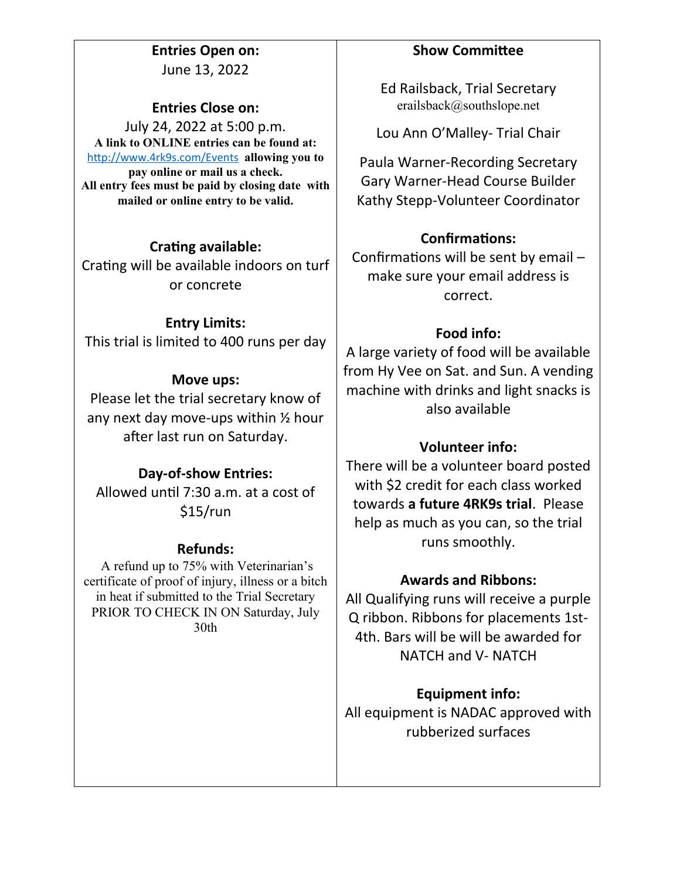**Entries Open on:** June 13, 2022

# **Entries Close on:**

July 24, 2022 at 5:00 p.m. **A link to ONLINE entries can be found at:** <http://www.4rk9s.com/Events> **allowing you to pay online or mail us a check. All entry fees must be paid by closing date with mailed or online entry to be valid.** 

# **Crating available:**

Crating will be available indoors on turf or concrete

# **Entry Limits:**

This trial is limited to 400 runs per day

# **Move ups:**

Please let the trial secretary know of any next day move-ups within ½ hour after last run on Saturday.

# **Day-of-show Entries:**

Allowed until 7:30 a.m. at a cost of \$15/run

# **Refunds:**

A refund up to 75% with Veterinarian's certificate of proof of injury, illness or a bitch in heat if submitted to the Trial Secretary PRIOR TO CHECK IN ON Saturday, July 30th

# **Show Committee**

Ed Railsback, Trial Secretary erailsback@southslope.net

Lou Ann O'Malley- Trial Chair

Paula Warner-Recording Secretary Gary Warner-Head Course Builder Kathy Stepp-Volunteer Coordinator

# **Confirmations:**

Confirmations will be sent by email – make sure your email address is correct.

# **Food info:**

A large variety of food will be available from Hy Vee on Sat. and Sun. A vending machine with drinks and light snacks is also available

# **Volunteer info:**

There will be a volunteer board posted with \$2 credit for each class worked towards **a future 4RK9s trial**. Please help as much as you can, so the trial runs smoothly.

# **Awards and Ribbons:**

All Qualifying runs will receive a purple Q ribbon. Ribbons for placements 1st-4th. Bars will be will be awarded for NATCH and V- NATCH

# **Equipment info:**

All equipment is NADAC approved with rubberized surfaces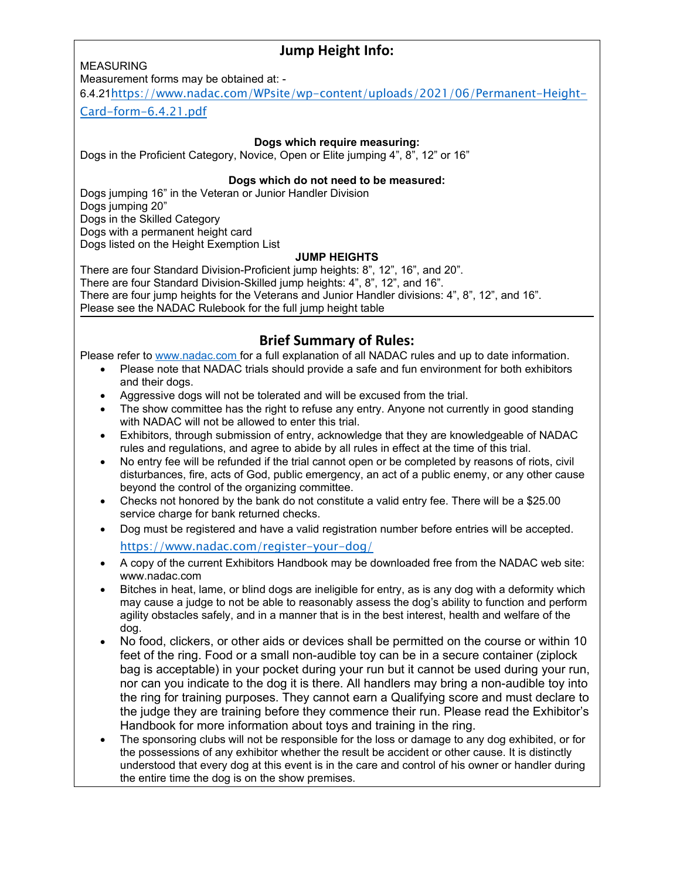# **Jump Height Info:**

MEASURING

Measurement forms may be obtained at: -

6.4.21[https://www.nadac.com/WPsite/wp-content/uploads/2021/06/Permanent-Height-](https://www.nadac.com/WPsite/wp-content/uploads/2021/06/Permanent-Height-Card-form-6.4.21.pdf)

[Card-form-6.4.21.pdf](https://www.nadac.com/WPsite/wp-content/uploads/2021/06/Permanent-Height-Card-form-6.4.21.pdf)

#### **Dogs which require measuring:**

Dogs in the Proficient Category, Novice, Open or Elite jumping 4", 8", 12" or 16"

#### **Dogs which do not need to be measured:**

Dogs jumping 16" in the Veteran or Junior Handler Division Dogs jumping 20" Dogs in the Skilled Category Dogs with a permanent height card Dogs listed on the Height Exemption List

#### **JUMP HEIGHTS**

There are four Standard Division-Proficient jump heights: 8", 12", 16", and 20". There are four Standard Division-Skilled jump heights: 4", 8", 12", and 16". There are four jump heights for the Veterans and Junior Handler divisions: 4", 8", 12", and 16". Please see the NADAC Rulebook for the full jump height table

# **Brief Summary of Rules:**

Please refer to [www.nadac.com](http://www.nadac.com/) for a full explanation of all NADAC rules and up to date information.

- Please note that NADAC trials should provide a safe and fun environment for both exhibitors and their dogs.
- Aggressive dogs will not be tolerated and will be excused from the trial.
- The show committee has the right to refuse any entry. Anyone not currently in good standing with NADAC will not be allowed to enter this trial.
- Exhibitors, through submission of entry, acknowledge that they are knowledgeable of NADAC rules and regulations, and agree to abide by all rules in effect at the time of this trial.
- No entry fee will be refunded if the trial cannot open or be completed by reasons of riots, civil disturbances, fire, acts of God, public emergency, an act of a public enemy, or any other cause beyond the control of the organizing committee.
- Checks not honored by the bank do not constitute a valid entry fee. There will be a \$25.00 service charge for bank returned checks.
- Dog must be registered and have a valid registration number before entries will be accepted. <https://www.nadac.com/register-your-dog/>
- A copy of the current Exhibitors Handbook may be downloaded free from the NADAC web site: www.nadac.com
- Bitches in heat, lame, or blind dogs are ineligible for entry, as is any dog with a deformity which may cause a judge to not be able to reasonably assess the dog's ability to function and perform agility obstacles safely, and in a manner that is in the best interest, health and welfare of the dog.
- No food, clickers, or other aids or devices shall be permitted on the course or within 10 feet of the ring. Food or a small non-audible toy can be in a secure container (ziplock bag is acceptable) in your pocket during your run but it cannot be used during your run, nor can you indicate to the dog it is there. All handlers may bring a non-audible toy into the ring for training purposes. They cannot earn a Qualifying score and must declare to the judge they are training before they commence their run. Please read the Exhibitor's Handbook for more information about toys and training in the ring.
- The sponsoring clubs will not be responsible for the loss or damage to any dog exhibited, or for the possessions of any exhibitor whether the result be accident or other cause. It is distinctly understood that every dog at this event is in the care and control of his owner or handler during the entire time the dog is on the show premises.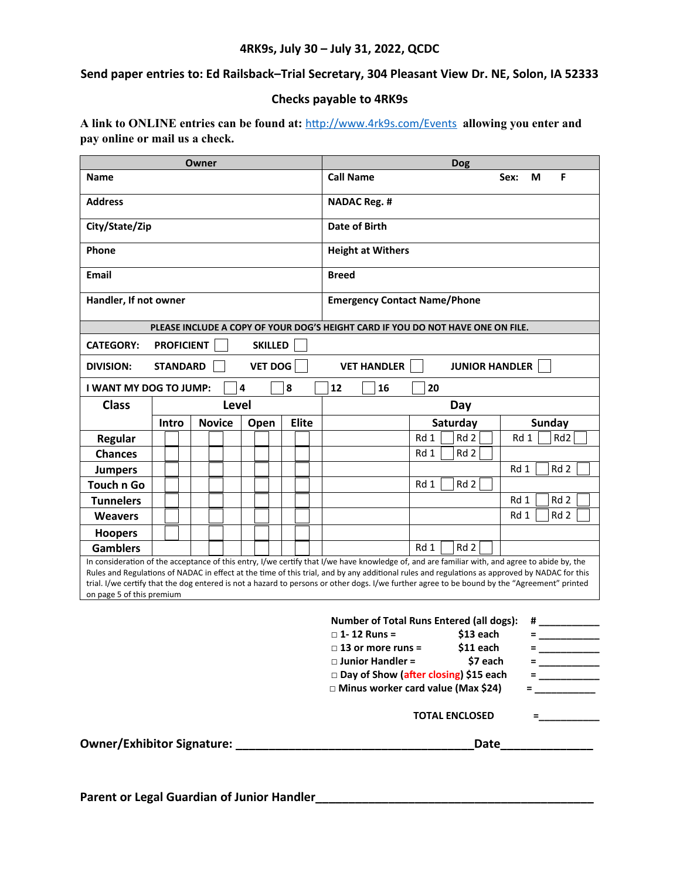#### **4RK9s, July 30 – July 31, 2022, QCDC**

**Send paper entries to: Ed Railsback–Trial Secretary, 304 Pleasant View Dr. NE, Solon, IA 52333**

#### **Checks payable to 4RK9s**

**A link to ONLINE entries can be found at:** <http://www.4rk9s.com/Events> **allowing you enter and pay online or mail us a check.**

| <b>Call Name</b><br>F<br><b>Name</b><br>Sex:<br>М<br><b>Address</b><br><b>NADAC Reg. #</b><br>Date of Birth<br>City/State/Zip<br>Phone<br><b>Height at Withers</b><br><b>Email</b><br><b>Breed</b><br>Handler, If not owner<br><b>Emergency Contact Name/Phone</b><br>PLEASE INCLUDE A COPY OF YOUR DOG'S HEIGHT CARD IF YOU DO NOT HAVE ONE ON FILE.<br><b>PROFICIENT</b><br><b>SKILLED</b><br><b>CATEGORY:</b><br><b>VET DOG</b><br><b>VET HANDLER</b><br><b>STANDARD</b><br><b>JUNIOR HANDLER</b><br><b>DIVISION:</b><br>4<br>8<br>12<br>I WANT MY DOG TO JUMP:<br>16<br>20<br><b>Class</b><br>Level<br>Day<br><b>Novice</b><br><b>Elite</b><br>Saturday<br><b>Sunday</b><br>Intro<br>Open<br>Rd 2<br>Rd 1<br>Rd 1<br>Rd <sub>2</sub><br><b>Regular</b><br>Rd 2<br>Rd 1<br><b>Chances</b><br>Rd <sub>2</sub><br>Rd 1<br><b>Jumpers</b><br>Touch n Go<br>Rd 2<br>Rd 1<br>Rd 1<br>Rd 2<br><b>Tunnelers</b><br>Rd 1<br>Rd 2<br><b>Weavers</b><br><b>Hoopers</b><br>Rd 2<br><b>Gamblers</b><br>Rd 1<br>In consideration of the acceptance of this entry, I/we certify that I/we have knowledge of, and are familiar with, and agree to abide by, the<br>Rules and Regulations of NADAC in effect at the time of this trial, and by any additional rules and regulations as approved by NADAC for this<br>trial. I/we certify that the dog entered is not a hazard to persons or other dogs. I/we further agree to be bound by the "Agreement" printed<br>on page 5 of this premium<br><b>Number of Total Runs Entered (all dogs):</b><br>#<br>$\Box$ 1-12 Runs =<br>$$13$ each<br>\$11 each<br>$\Box$ 13 or more runs =<br>$=$<br>$\Box$ Junior Handler =<br>\$7 each<br>Day of Show (after closing) \$15 each<br>□ Minus worker card value (Max \$24) | Owner |  |  |  |  | <b>Dog</b> |  |               |  |                                                    |  |  |  |  |  |  |  |
|-------------------------------------------------------------------------------------------------------------------------------------------------------------------------------------------------------------------------------------------------------------------------------------------------------------------------------------------------------------------------------------------------------------------------------------------------------------------------------------------------------------------------------------------------------------------------------------------------------------------------------------------------------------------------------------------------------------------------------------------------------------------------------------------------------------------------------------------------------------------------------------------------------------------------------------------------------------------------------------------------------------------------------------------------------------------------------------------------------------------------------------------------------------------------------------------------------------------------------------------------------------------------------------------------------------------------------------------------------------------------------------------------------------------------------------------------------------------------------------------------------------------------------------------------------------------------------------------------------------------------------------------------------------------------------------------------------------------------------------------------------|-------|--|--|--|--|------------|--|---------------|--|----------------------------------------------------|--|--|--|--|--|--|--|
|                                                                                                                                                                                                                                                                                                                                                                                                                                                                                                                                                                                                                                                                                                                                                                                                                                                                                                                                                                                                                                                                                                                                                                                                                                                                                                                                                                                                                                                                                                                                                                                                                                                                                                                                                       |       |  |  |  |  |            |  |               |  |                                                    |  |  |  |  |  |  |  |
|                                                                                                                                                                                                                                                                                                                                                                                                                                                                                                                                                                                                                                                                                                                                                                                                                                                                                                                                                                                                                                                                                                                                                                                                                                                                                                                                                                                                                                                                                                                                                                                                                                                                                                                                                       |       |  |  |  |  |            |  |               |  |                                                    |  |  |  |  |  |  |  |
|                                                                                                                                                                                                                                                                                                                                                                                                                                                                                                                                                                                                                                                                                                                                                                                                                                                                                                                                                                                                                                                                                                                                                                                                                                                                                                                                                                                                                                                                                                                                                                                                                                                                                                                                                       |       |  |  |  |  |            |  |               |  |                                                    |  |  |  |  |  |  |  |
|                                                                                                                                                                                                                                                                                                                                                                                                                                                                                                                                                                                                                                                                                                                                                                                                                                                                                                                                                                                                                                                                                                                                                                                                                                                                                                                                                                                                                                                                                                                                                                                                                                                                                                                                                       |       |  |  |  |  |            |  |               |  |                                                    |  |  |  |  |  |  |  |
|                                                                                                                                                                                                                                                                                                                                                                                                                                                                                                                                                                                                                                                                                                                                                                                                                                                                                                                                                                                                                                                                                                                                                                                                                                                                                                                                                                                                                                                                                                                                                                                                                                                                                                                                                       |       |  |  |  |  |            |  |               |  |                                                    |  |  |  |  |  |  |  |
|                                                                                                                                                                                                                                                                                                                                                                                                                                                                                                                                                                                                                                                                                                                                                                                                                                                                                                                                                                                                                                                                                                                                                                                                                                                                                                                                                                                                                                                                                                                                                                                                                                                                                                                                                       |       |  |  |  |  |            |  |               |  |                                                    |  |  |  |  |  |  |  |
|                                                                                                                                                                                                                                                                                                                                                                                                                                                                                                                                                                                                                                                                                                                                                                                                                                                                                                                                                                                                                                                                                                                                                                                                                                                                                                                                                                                                                                                                                                                                                                                                                                                                                                                                                       |       |  |  |  |  |            |  |               |  |                                                    |  |  |  |  |  |  |  |
|                                                                                                                                                                                                                                                                                                                                                                                                                                                                                                                                                                                                                                                                                                                                                                                                                                                                                                                                                                                                                                                                                                                                                                                                                                                                                                                                                                                                                                                                                                                                                                                                                                                                                                                                                       |       |  |  |  |  |            |  |               |  |                                                    |  |  |  |  |  |  |  |
|                                                                                                                                                                                                                                                                                                                                                                                                                                                                                                                                                                                                                                                                                                                                                                                                                                                                                                                                                                                                                                                                                                                                                                                                                                                                                                                                                                                                                                                                                                                                                                                                                                                                                                                                                       |       |  |  |  |  |            |  |               |  |                                                    |  |  |  |  |  |  |  |
|                                                                                                                                                                                                                                                                                                                                                                                                                                                                                                                                                                                                                                                                                                                                                                                                                                                                                                                                                                                                                                                                                                                                                                                                                                                                                                                                                                                                                                                                                                                                                                                                                                                                                                                                                       |       |  |  |  |  |            |  |               |  |                                                    |  |  |  |  |  |  |  |
|                                                                                                                                                                                                                                                                                                                                                                                                                                                                                                                                                                                                                                                                                                                                                                                                                                                                                                                                                                                                                                                                                                                                                                                                                                                                                                                                                                                                                                                                                                                                                                                                                                                                                                                                                       |       |  |  |  |  |            |  |               |  |                                                    |  |  |  |  |  |  |  |
|                                                                                                                                                                                                                                                                                                                                                                                                                                                                                                                                                                                                                                                                                                                                                                                                                                                                                                                                                                                                                                                                                                                                                                                                                                                                                                                                                                                                                                                                                                                                                                                                                                                                                                                                                       |       |  |  |  |  |            |  |               |  |                                                    |  |  |  |  |  |  |  |
|                                                                                                                                                                                                                                                                                                                                                                                                                                                                                                                                                                                                                                                                                                                                                                                                                                                                                                                                                                                                                                                                                                                                                                                                                                                                                                                                                                                                                                                                                                                                                                                                                                                                                                                                                       |       |  |  |  |  |            |  |               |  |                                                    |  |  |  |  |  |  |  |
|                                                                                                                                                                                                                                                                                                                                                                                                                                                                                                                                                                                                                                                                                                                                                                                                                                                                                                                                                                                                                                                                                                                                                                                                                                                                                                                                                                                                                                                                                                                                                                                                                                                                                                                                                       |       |  |  |  |  |            |  |               |  |                                                    |  |  |  |  |  |  |  |
|                                                                                                                                                                                                                                                                                                                                                                                                                                                                                                                                                                                                                                                                                                                                                                                                                                                                                                                                                                                                                                                                                                                                                                                                                                                                                                                                                                                                                                                                                                                                                                                                                                                                                                                                                       |       |  |  |  |  |            |  |               |  |                                                    |  |  |  |  |  |  |  |
|                                                                                                                                                                                                                                                                                                                                                                                                                                                                                                                                                                                                                                                                                                                                                                                                                                                                                                                                                                                                                                                                                                                                                                                                                                                                                                                                                                                                                                                                                                                                                                                                                                                                                                                                                       |       |  |  |  |  |            |  |               |  |                                                    |  |  |  |  |  |  |  |
|                                                                                                                                                                                                                                                                                                                                                                                                                                                                                                                                                                                                                                                                                                                                                                                                                                                                                                                                                                                                                                                                                                                                                                                                                                                                                                                                                                                                                                                                                                                                                                                                                                                                                                                                                       |       |  |  |  |  |            |  |               |  |                                                    |  |  |  |  |  |  |  |
|                                                                                                                                                                                                                                                                                                                                                                                                                                                                                                                                                                                                                                                                                                                                                                                                                                                                                                                                                                                                                                                                                                                                                                                                                                                                                                                                                                                                                                                                                                                                                                                                                                                                                                                                                       |       |  |  |  |  |            |  |               |  |                                                    |  |  |  |  |  |  |  |
|                                                                                                                                                                                                                                                                                                                                                                                                                                                                                                                                                                                                                                                                                                                                                                                                                                                                                                                                                                                                                                                                                                                                                                                                                                                                                                                                                                                                                                                                                                                                                                                                                                                                                                                                                       |       |  |  |  |  |            |  |               |  |                                                    |  |  |  |  |  |  |  |
|                                                                                                                                                                                                                                                                                                                                                                                                                                                                                                                                                                                                                                                                                                                                                                                                                                                                                                                                                                                                                                                                                                                                                                                                                                                                                                                                                                                                                                                                                                                                                                                                                                                                                                                                                       |       |  |  |  |  |            |  |               |  |                                                    |  |  |  |  |  |  |  |
|                                                                                                                                                                                                                                                                                                                                                                                                                                                                                                                                                                                                                                                                                                                                                                                                                                                                                                                                                                                                                                                                                                                                                                                                                                                                                                                                                                                                                                                                                                                                                                                                                                                                                                                                                       |       |  |  |  |  |            |  |               |  |                                                    |  |  |  |  |  |  |  |
|                                                                                                                                                                                                                                                                                                                                                                                                                                                                                                                                                                                                                                                                                                                                                                                                                                                                                                                                                                                                                                                                                                                                                                                                                                                                                                                                                                                                                                                                                                                                                                                                                                                                                                                                                       |       |  |  |  |  |            |  |               |  |                                                    |  |  |  |  |  |  |  |
|                                                                                                                                                                                                                                                                                                                                                                                                                                                                                                                                                                                                                                                                                                                                                                                                                                                                                                                                                                                                                                                                                                                                                                                                                                                                                                                                                                                                                                                                                                                                                                                                                                                                                                                                                       |       |  |  |  |  |            |  |               |  |                                                    |  |  |  |  |  |  |  |
|                                                                                                                                                                                                                                                                                                                                                                                                                                                                                                                                                                                                                                                                                                                                                                                                                                                                                                                                                                                                                                                                                                                                                                                                                                                                                                                                                                                                                                                                                                                                                                                                                                                                                                                                                       |       |  |  |  |  |            |  |               |  |                                                    |  |  |  |  |  |  |  |
|                                                                                                                                                                                                                                                                                                                                                                                                                                                                                                                                                                                                                                                                                                                                                                                                                                                                                                                                                                                                                                                                                                                                                                                                                                                                                                                                                                                                                                                                                                                                                                                                                                                                                                                                                       |       |  |  |  |  |            |  | = ___________ |  |                                                    |  |  |  |  |  |  |  |
|                                                                                                                                                                                                                                                                                                                                                                                                                                                                                                                                                                                                                                                                                                                                                                                                                                                                                                                                                                                                                                                                                                                                                                                                                                                                                                                                                                                                                                                                                                                                                                                                                                                                                                                                                       |       |  |  |  |  |            |  |               |  |                                                    |  |  |  |  |  |  |  |
|                                                                                                                                                                                                                                                                                                                                                                                                                                                                                                                                                                                                                                                                                                                                                                                                                                                                                                                                                                                                                                                                                                                                                                                                                                                                                                                                                                                                                                                                                                                                                                                                                                                                                                                                                       |       |  |  |  |  |            |  |               |  | <u> 1989 - Alban Store, amerikansk politiker (</u> |  |  |  |  |  |  |  |
|                                                                                                                                                                                                                                                                                                                                                                                                                                                                                                                                                                                                                                                                                                                                                                                                                                                                                                                                                                                                                                                                                                                                                                                                                                                                                                                                                                                                                                                                                                                                                                                                                                                                                                                                                       |       |  |  |  |  |            |  |               |  | <b>TOTAL ENCLOSED</b>                              |  |  |  |  |  |  |  |
| Owner/Exhibitor Signature: Management Communications<br>Date<br>___________________                                                                                                                                                                                                                                                                                                                                                                                                                                                                                                                                                                                                                                                                                                                                                                                                                                                                                                                                                                                                                                                                                                                                                                                                                                                                                                                                                                                                                                                                                                                                                                                                                                                                   |       |  |  |  |  |            |  |               |  |                                                    |  |  |  |  |  |  |  |

**Parent or Legal Guardian of Junior Handler\_\_\_\_\_\_\_\_\_\_\_\_\_\_\_\_\_\_\_\_\_\_\_\_\_\_\_\_\_\_\_\_\_\_\_\_\_\_\_\_\_\_**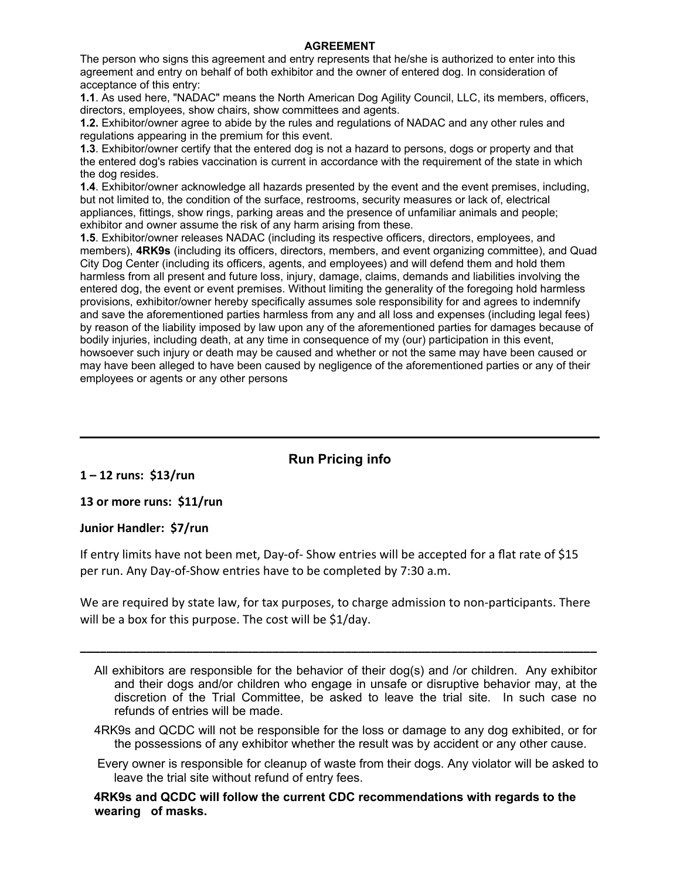#### **AGREEMENT**

The person who signs this agreement and entry represents that he/she is authorized to enter into this agreement and entry on behalf of both exhibitor and the owner of entered dog. In consideration of acceptance of this entry:

**1.1**. As used here, "NADAC" means the North American Dog Agility Council, LLC, its members, officers, directors, employees, show chairs, show committees and agents.

**1.2.** Exhibitor/owner agree to abide by the rules and regulations of NADAC and any other rules and regulations appearing in the premium for this event.

**1.3**. Exhibitor/owner certify that the entered dog is not a hazard to persons, dogs or property and that the entered dog's rabies vaccination is current in accordance with the requirement of the state in which the dog resides.

**1.4**. Exhibitor/owner acknowledge all hazards presented by the event and the event premises, including, but not limited to, the condition of the surface, restrooms, security measures or lack of, electrical appliances, fittings, show rings, parking areas and the presence of unfamiliar animals and people; exhibitor and owner assume the risk of any harm arising from these.

**1.5**. Exhibitor/owner releases NADAC (including its respective officers, directors, employees, and members), **4RK9s** (including its officers, directors, members, and event organizing committee), and Quad City Dog Center (including its officers, agents, and employees) and will defend them and hold them harmless from all present and future loss, injury, damage, claims, demands and liabilities involving the entered dog, the event or event premises. Without limiting the generality of the foregoing hold harmless provisions, exhibitor/owner hereby specifically assumes sole responsibility for and agrees to indemnify and save the aforementioned parties harmless from any and all loss and expenses (including legal fees) by reason of the liability imposed by law upon any of the aforementioned parties for damages because of bodily injuries, including death, at any time in consequence of my (our) participation in this event, howsoever such injury or death may be caused and whether or not the same may have been caused or may have been alleged to have been caused by negligence of the aforementioned parties or any of their employees or agents or any other persons

# **Run Pricing info**

**1 – 12 runs: \$13/run**

**13 or more runs: \$11/run**

#### **Junior Handler: \$7/run**

If entry limits have not been met, Day-of- Show entries will be accepted for a flat rate of \$15 per run. Any Day-of-Show entries have to be completed by 7:30 a.m.

We are required by state law, for tax purposes, to charge admission to non-participants. There will be a box for this purpose. The cost will be \$1/day.

**\_\_\_\_\_\_\_\_\_\_\_\_\_\_\_\_\_\_\_\_\_\_\_\_\_\_\_\_\_\_\_\_\_\_\_\_\_\_\_\_\_\_\_\_\_\_\_\_\_\_\_\_\_\_\_\_\_\_\_\_\_\_\_\_\_\_\_\_\_\_\_\_\_\_\_\_\_\_**

- 4RK9s and QCDC will not be responsible for the loss or damage to any dog exhibited, or for the possessions of any exhibitor whether the result was by accident or any other cause.
- Every owner is responsible for cleanup of waste from their dogs. Any violator will be asked to leave the trial site without refund of entry fees.

**4RK9s and QCDC will follow the current CDC recommendations with regards to the wearing of masks.** 

All exhibitors are responsible for the behavior of their dog(s) and /or children. Any exhibitor and their dogs and/or children who engage in unsafe or disruptive behavior may, at the discretion of the Trial Committee, be asked to leave the trial site. In such case no refunds of entries will be made.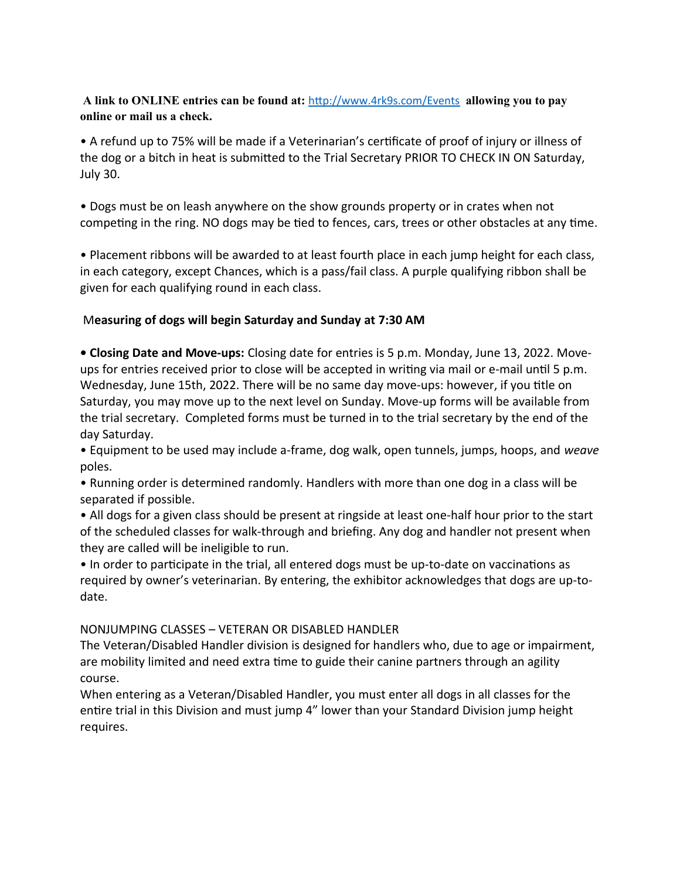#### **A link to ONLINE entries can be found at:** <http://www.4rk9s.com/Events> **allowing you to pay online or mail us a check.**

• A refund up to 75% will be made if a Veterinarian's certificate of proof of injury or illness of the dog or a bitch in heat is submitted to the Trial Secretary PRIOR TO CHECK IN ON Saturday, July 30.

• Dogs must be on leash anywhere on the show grounds property or in crates when not competing in the ring. NO dogs may be tied to fences, cars, trees or other obstacles at any time.

• Placement ribbons will be awarded to at least fourth place in each jump height for each class, in each category, except Chances, which is a pass/fail class. A purple qualifying ribbon shall be given for each qualifying round in each class.

# M**easuring of dogs will begin Saturday and Sunday at 7:30 AM**

**• Closing Date and Move-ups:** Closing date for entries is 5 p.m. Monday, June 13, 2022. Moveups for entries received prior to close will be accepted in writing via mail or e-mail until 5 p.m. Wednesday, June 15th, 2022. There will be no same day move-ups: however, if you title on Saturday, you may move up to the next level on Sunday. Move-up forms will be available from the trial secretary. Completed forms must be turned in to the trial secretary by the end of the day Saturday.

• Equipment to be used may include a-frame, dog walk, open tunnels, jumps, hoops, and *weave* poles.

• Running order is determined randomly. Handlers with more than one dog in a class will be separated if possible.

• All dogs for a given class should be present at ringside at least one-half hour prior to the start of the scheduled classes for walk-through and briefing. Any dog and handler not present when they are called will be ineligible to run.

• In order to participate in the trial, all entered dogs must be up-to-date on vaccinations as required by owner's veterinarian. By entering, the exhibitor acknowledges that dogs are up-todate.

#### NONJUMPING CLASSES – VETERAN OR DISABLED HANDLER

The Veteran/Disabled Handler division is designed for handlers who, due to age or impairment, are mobility limited and need extra time to guide their canine partners through an agility course.

When entering as a Veteran/Disabled Handler, you must enter all dogs in all classes for the entire trial in this Division and must jump 4" lower than your Standard Division jump height requires.